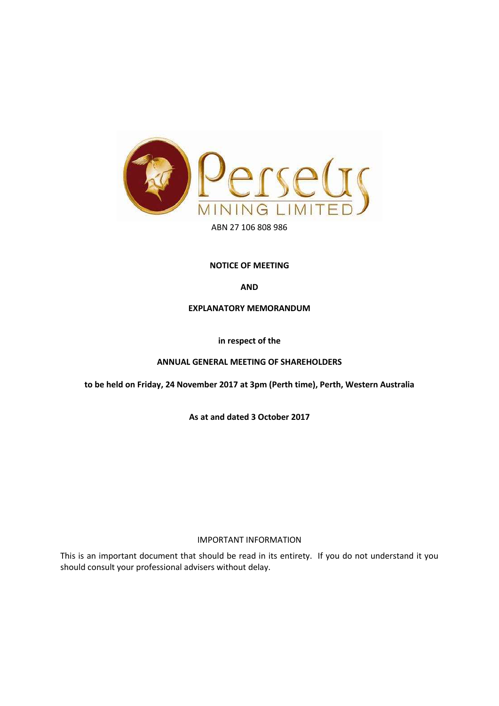

#### **NOTICE OF MEETING**

**AND** 

#### **EXPLANATORY MEMORANDUM**

**in respect of the** 

#### **ANNUAL GENERAL MEETING OF SHAREHOLDERS**

**to be held on Friday, 24 November 2017 at 3pm (Perth time), Perth, Western Australia**

**As at and dated 3 October 2017**

#### IMPORTANT INFORMATION

This is an important document that should be read in its entirety. If you do not understand it you should consult your professional advisers without delay.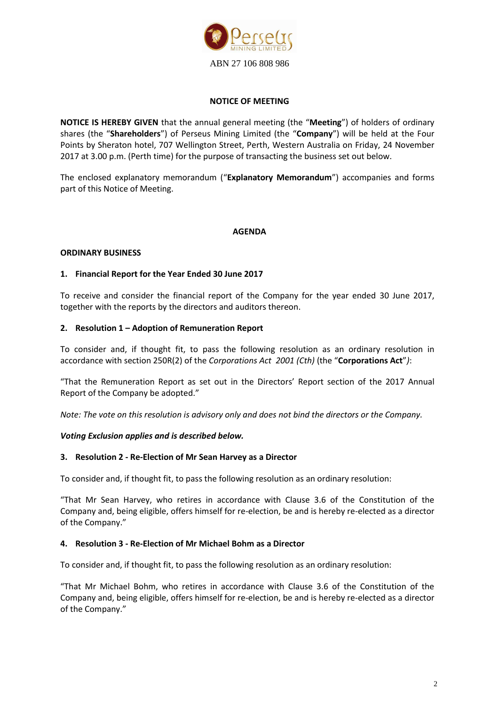

#### **NOTICE OF MEETING**

**NOTICE IS HEREBY GIVEN** that the annual general meeting (the "**Meeting**") of holders of ordinary shares (the "**Shareholders**") of Perseus Mining Limited (the "**Company**") will be held at the Four Points by Sheraton hotel, 707 Wellington Street, Perth, Western Australia on Friday, 24 November 2017 at 3.00 p.m. (Perth time) for the purpose of transacting the business set out below.

The enclosed explanatory memorandum ("**Explanatory Memorandum**") accompanies and forms part of this Notice of Meeting.

#### **AGENDA**

#### **ORDINARY BUSINESS**

#### **1. Financial Report for the Year Ended 30 June 2017**

To receive and consider the financial report of the Company for the year ended 30 June 2017, together with the reports by the directors and auditors thereon.

#### **2. Resolution 1 – Adoption of Remuneration Report**

To consider and, if thought fit, to pass the following resolution as an ordinary resolution in accordance with section 250R(2) of the *Corporations Act 2001 (Cth)* (the "**Corporations Act**"*)*:

"That the Remuneration Report as set out in the Directors' Report section of the 2017 Annual Report of the Company be adopted."

*Note: The vote on this resolution is advisory only and does not bind the directors or the Company.* 

#### *Voting Exclusion applies and is described below.*

#### **3. Resolution 2 - Re-Election of Mr Sean Harvey as a Director**

To consider and, if thought fit, to pass the following resolution as an ordinary resolution:

"That Mr Sean Harvey, who retires in accordance with Clause 3.6 of the Constitution of the Company and, being eligible, offers himself for re-election, be and is hereby re-elected as a director of the Company."

#### **4. Resolution 3 - Re-Election of Mr Michael Bohm as a Director**

To consider and, if thought fit, to pass the following resolution as an ordinary resolution:

"That Mr Michael Bohm, who retires in accordance with Clause 3.6 of the Constitution of the Company and, being eligible, offers himself for re-election, be and is hereby re-elected as a director of the Company."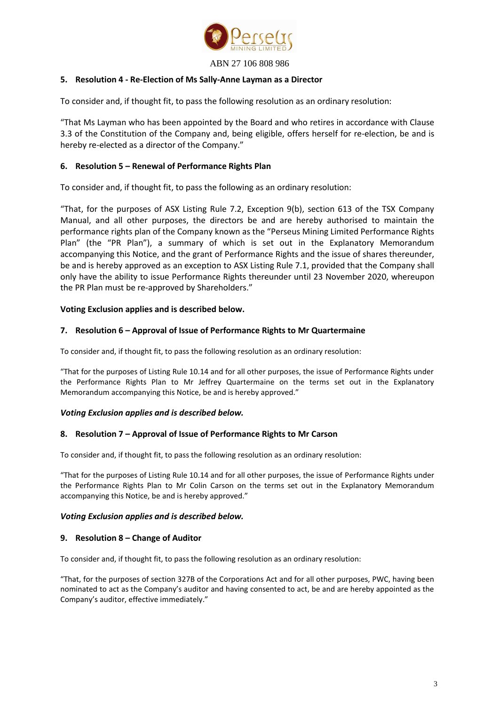

#### **5. Resolution 4 - Re-Election of Ms Sally-Anne Layman as a Director**

To consider and, if thought fit, to pass the following resolution as an ordinary resolution:

"That Ms Layman who has been appointed by the Board and who retires in accordance with Clause 3.3 of the Constitution of the Company and, being eligible, offers herself for re-election, be and is hereby re-elected as a director of the Company."

#### **6. Resolution 5 – Renewal of Performance Rights Plan**

To consider and, if thought fit, to pass the following as an ordinary resolution:

"That, for the purposes of ASX Listing Rule 7.2, Exception 9(b), section 613 of the TSX Company Manual, and all other purposes, the directors be and are hereby authorised to maintain the performance rights plan of the Company known as the "Perseus Mining Limited Performance Rights Plan" (the "PR Plan"), a summary of which is set out in the Explanatory Memorandum accompanying this Notice, and the grant of Performance Rights and the issue of shares thereunder, be and is hereby approved as an exception to ASX Listing Rule 7.1, provided that the Company shall only have the ability to issue Performance Rights thereunder until 23 November 2020, whereupon the PR Plan must be re-approved by Shareholders."

#### **Voting Exclusion applies and is described below.**

#### **7. Resolution 6 – Approval of Issue of Performance Rights to Mr Quartermaine**

To consider and, if thought fit, to pass the following resolution as an ordinary resolution:

"That for the purposes of Listing Rule 10.14 and for all other purposes, the issue of Performance Rights under the Performance Rights Plan to Mr Jeffrey Quartermaine on the terms set out in the Explanatory Memorandum accompanying this Notice, be and is hereby approved."

#### *Voting Exclusion applies and is described below.*

#### **8. Resolution 7 – Approval of Issue of Performance Rights to Mr Carson**

To consider and, if thought fit, to pass the following resolution as an ordinary resolution:

"That for the purposes of Listing Rule 10.14 and for all other purposes, the issue of Performance Rights under the Performance Rights Plan to Mr Colin Carson on the terms set out in the Explanatory Memorandum accompanying this Notice, be and is hereby approved."

#### *Voting Exclusion applies and is described below.*

#### **9. Resolution 8 – Change of Auditor**

To consider and, if thought fit, to pass the following resolution as an ordinary resolution:

"That, for the purposes of section 327B of the Corporations Act and for all other purposes, PWC, having been nominated to act as the Company's auditor and having consented to act, be and are hereby appointed as the Company's auditor, effective immediately."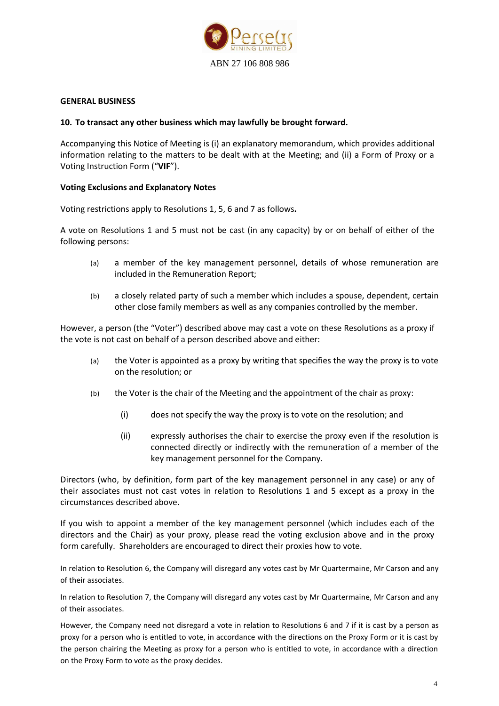

#### **GENERAL BUSINESS**

#### **10. To transact any other business which may lawfully be brought forward.**

Accompanying this Notice of Meeting is (i) an explanatory memorandum, which provides additional information relating to the matters to be dealt with at the Meeting; and (ii) a Form of Proxy or a Voting Instruction Form ("**VIF**").

#### **Voting Exclusions and Explanatory Notes**

Voting restrictions apply to Resolutions 1, 5, 6 and 7 as follows**.** 

A vote on Resolutions 1 and 5 must not be cast (in any capacity) by or [on behalf of](http://www.austlii.edu.au/au/legis/cth/consol_act/ca2001172/s9.html#on_behalf_of) either of the following [persons:](http://www.austlii.edu.au/au/legis/cth/consol_act/ca2001172/s761a.html#person)

- (a) a [member](http://www.austlii.edu.au/au/legis/cth/consol_act/ca2001172/s9.html#member) of the [key management](http://www.austlii.edu.au/au/legis/cth/consol_act/ca2001172/s9.html#key_management_personnel) [personnel,](http://www.austlii.edu.au/au/legis/cth/consol_act/ca2001172/s9.html#key_management_personnel) details of whose [remuneration](http://www.austlii.edu.au/au/legis/cth/consol_act/ca2001172/s9.html#remuneration) are [included](http://www.austlii.edu.au/au/legis/cth/consol_act/ca2001172/s9.html#included) in the [Remuneration](http://www.austlii.edu.au/au/legis/cth/consol_act/ca2001172/s9.html#remuneration_report) [Report;](http://www.austlii.edu.au/au/legis/cth/consol_act/ca2001172/s9.html#remuneration_report)
- (b) a [closely related party](http://www.austlii.edu.au/au/legis/cth/consol_act/ca2001172/s9.html#closely_related_party) of such a [member](http://www.austlii.edu.au/au/legis/cth/consol_act/ca2001172/s9.html#member) which includes a spouse, dependent, certain other close family members as well as any companies controlled by the member.

However, [a person](http://www.austlii.edu.au/au/legis/cth/consol_act/ca2001172/s761a.html#person) (the "Voter") described above may cast a vote on these Resolutions as a proxy if the vote is not cast [on behalf of](http://www.austlii.edu.au/au/legis/cth/consol_act/ca2001172/s9.html#on_behalf_of) [a person](http://www.austlii.edu.au/au/legis/cth/consol_act/ca2001172/s761a.html#person) described above and either:

- (a) the Voter is appointed as a proxy by writing that specifies the way the proxy is to vote on the resolution; or
- (b) the Voter is the chair of the Meeting and the appointment of the chair as proxy:
	- (i) does not specify the way the proxy is to vote on the resolution; and
	- (ii) expressly authorises the chair to exercise the proxy even if the resolution is connected directly or indirectly with the [remuneration](http://www.austlii.edu.au/au/legis/cth/consol_act/ca2001172/s9.html#remuneration) of a [member](http://www.austlii.edu.au/au/legis/cth/consol_act/ca2001172/s9.html#member) of the [key management personnel](http://www.austlii.edu.au/au/legis/cth/consol_act/ca2001172/s9.html#key_management_personnel) for the [Company.](http://www.austlii.edu.au/au/legis/cth/consol_act/ca2001172/s9.html#company)

Directors (who, by definition, form part of the key management personnel in any case) or any of their associates must not cast votes in relation to Resolutions 1 and 5 except as a proxy in the circumstances described above.

If you wish to appoint a member of the key management personnel (which includes each of the directors and the Chair) as your proxy, please read the voting exclusion above and in the proxy form carefully. Shareholders are encouraged to direct their proxies how to vote.

In relation to Resolution 6, the Company will disregard any votes cast by Mr Quartermaine, Mr Carson and any of their associates.

In relation to Resolution 7, the Company will disregard any votes cast by Mr Quartermaine, Mr Carson and any of their associates.

However, the Company need not disregard a vote in relation to Resolutions 6 and 7 if it is cast by a person as proxy for a person who is entitled to vote, in accordance with the directions on the Proxy Form or it is cast by the person chairing the Meeting as proxy for a person who is entitled to vote, in accordance with a direction on the Proxy Form to vote as the proxy decides.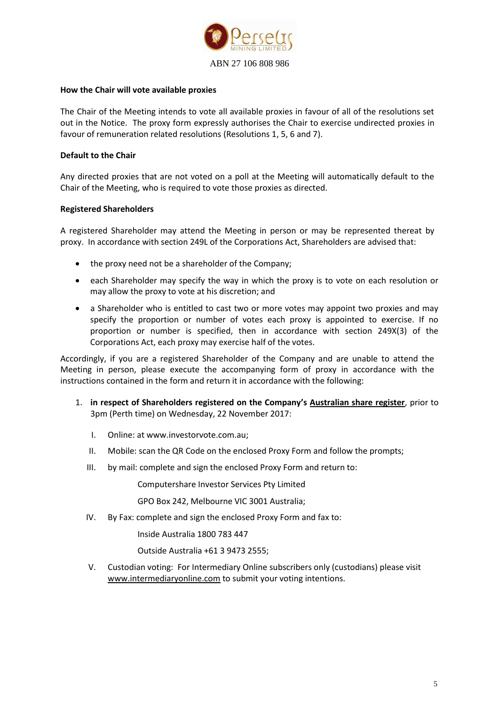

#### **How the Chair will vote available proxies**

The Chair of the Meeting intends to vote all available proxies in favour of all of the resolutions set out in the Notice. The proxy form expressly authorises the Chair to exercise undirected proxies in favour of remuneration related resolutions (Resolutions 1, 5, 6 and 7).

#### **Default to the Chair**

Any directed proxies that are not voted on a poll at the Meeting will automatically default to the Chair of the Meeting, who is required to vote those proxies as directed.

#### **Registered Shareholders**

A registered Shareholder may attend the Meeting in person or may be represented thereat by proxy. In accordance with section 249L of the Corporations Act, Shareholders are advised that:

- the proxy need not be a shareholder of the Company;
- each Shareholder may specify the way in which the proxy is to vote on each resolution or may allow the proxy to vote at his discretion; and
- a Shareholder who is entitled to cast two or more votes may appoint two proxies and may specify the proportion or number of votes each proxy is appointed to exercise. If no proportion or number is specified, then in accordance with section 249X(3) of the Corporations Act, each proxy may exercise half of the votes.

Accordingly, if you are a registered Shareholder of the Company and are unable to attend the Meeting in person, please execute the accompanying form of proxy in accordance with the instructions contained in the form and return it in accordance with the following:

- 1. **in respect of Shareholders registered on the Company's Australian share register**, prior to 3pm (Perth time) on Wednesday, 22 November 2017:
	- I. Online: at www.investorvote.com.au;
	- II. Mobile: scan the QR Code on the enclosed Proxy Form and follow the prompts;
	- III. by mail: complete and sign the enclosed Proxy Form and return to:

Computershare Investor Services Pty Limited

GPO Box 242, Melbourne VIC 3001 Australia;

IV. By Fax: complete and sign the enclosed Proxy Form and fax to:

Inside Australia 1800 783 447

Outside Australia +61 3 9473 2555;

V. Custodian voting: For Intermediary Online subscribers only (custodians) please visit [www.intermediaryonline.com](http://www.intermediaryonline.com/) to submit your voting intentions.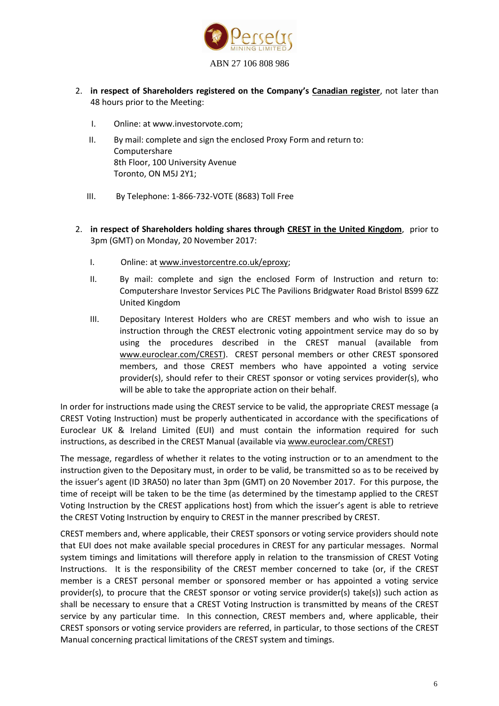

- 2. **in respect of Shareholders registered on the Company's Canadian register**, not later than 48 hours prior to the Meeting:
	- I. Online: at www.investorvote.com;
	- II. By mail: complete and sign the enclosed Proxy Form and return to: Computershare 8th Floor, 100 University Avenue Toronto, ON M5J 2Y1;
	- III. By Telephone: 1-866-732-VOTE (8683) Toll Free
- 2. **in respect of Shareholders holding shares through CREST in the United Kingdom**, prior to 3pm (GMT) on Monday, 20 November 2017:
	- I. Online: at [www.investorcentre.co.uk/eproxy;](http://www.investorcentre.co.uk/eproxy)
	- II. By mail: complete and sign the enclosed Form of Instruction and return to: Computershare Investor Services PLC The Pavilions Bridgwater Road Bristol BS99 6ZZ United Kingdom
	- III. Depositary Interest Holders who are CREST members and who wish to issue an instruction through the CREST electronic voting appointment service may do so by using the procedures described in the CREST manual (available from www.euroclear.com/CREST). CREST personal members or other CREST sponsored members, and those CREST members who have appointed a voting service provider(s), should refer to their CREST sponsor or voting services provider(s), who will be able to take the appropriate action on their behalf.

In order for instructions made using the CREST service to be valid, the appropriate CREST message (a CREST Voting Instruction) must be properly authenticated in accordance with the specifications of Euroclear UK & Ireland Limited (EUI) and must contain the information required for such instructions, as described in the CREST Manual (available vi[a www.euroclear.com/CREST\)](http://www.euroclear.com/CREST)

The message, regardless of whether it relates to the voting instruction or to an amendment to the instruction given to the Depositary must, in order to be valid, be transmitted so as to be received by the issuer's agent (ID 3RA50) no later than 3pm (GMT) on 20 November 2017. For this purpose, the time of receipt will be taken to be the time (as determined by the timestamp applied to the CREST Voting Instruction by the CREST applications host) from which the issuer's agent is able to retrieve the CREST Voting Instruction by enquiry to CREST in the manner prescribed by CREST.

CREST members and, where applicable, their CREST sponsors or voting service providers should note that EUI does not make available special procedures in CREST for any particular messages. Normal system timings and limitations will therefore apply in relation to the transmission of CREST Voting Instructions. It is the responsibility of the CREST member concerned to take (or, if the CREST member is a CREST personal member or sponsored member or has appointed a voting service provider(s), to procure that the CREST sponsor or voting service provider(s) take(s)) such action as shall be necessary to ensure that a CREST Voting Instruction is transmitted by means of the CREST service by any particular time. In this connection, CREST members and, where applicable, their CREST sponsors or voting service providers are referred, in particular, to those sections of the CREST Manual concerning practical limitations of the CREST system and timings.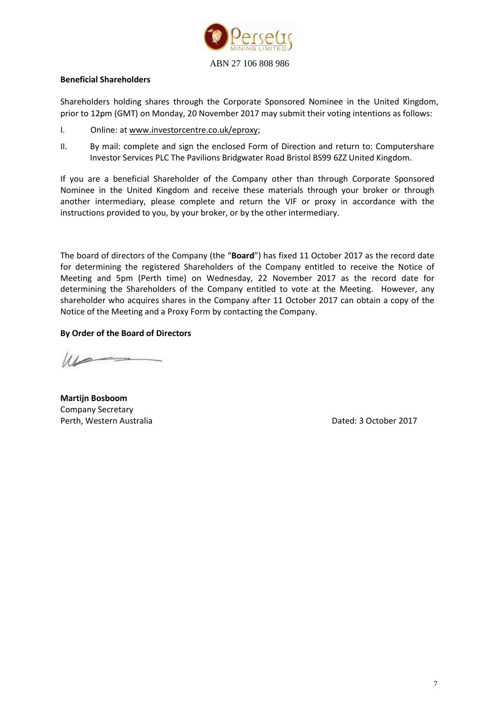

#### **Beneficial Shareholders**

Shareholders holding shares through the Corporate Sponsored Nominee in the United Kingdom, prior to 12pm (GMT) on Monday, 20 November 2017 may submit their voting intentions as follows:

- I. Online: at www.investorcentre.co.uk/eproxy;
- II. By mail: complete and sign the enclosed Form of Direction and return to: Computershare Investor Services PLC The Pavilions Bridgwater Road Bristol BS99 6ZZ United Kingdom.

If you are a beneficial Shareholder of the Company other than through Corporate Sponsored Nominee in the United Kingdom and receive these materials through your broker or through another intermediary, please complete and return the VIF or proxy in accordance with the instructions provided to you, by your broker, or by the other intermediary.

The board of directors of the Company (the "**Board**") has fixed 11 October 2017 as the record date for determining the registered Shareholders of the Company entitled to receive the Notice of Meeting and 5pm (Perth time) on Wednesday, 22 November 2017 as the record date for determining the Shareholders of the Company entitled to vote at the Meeting. However, any shareholder who acquires shares in the Company after 11 October 2017 can obtain a copy of the Notice of the Meeting and a Proxy Form by contacting the Company.

#### **By Order of the Board of Directors**

 $u \sim$ 

**Martijn Bosboom** Company Secretary Perth, Western Australia and Dated: 3 October 2017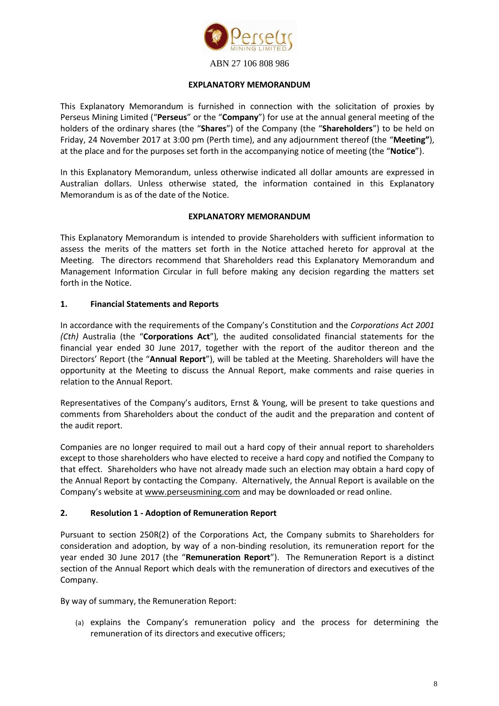

#### **EXPLANATORY MEMORANDUM**

This Explanatory Memorandum is furnished in connection with the solicitation of proxies by Perseus Mining Limited ("**Perseus**" or the "**Company**") for use at the annual general meeting of the holders of the ordinary shares (the "**Shares**") of the Company (the "**Shareholders**") to be held on Friday, 24 November 2017 at 3:00 pm (Perth time), and any adjournment thereof (the "**Meeting"**), at the place and for the purposes set forth in the accompanying notice of meeting (the "**Notice**").

In this Explanatory Memorandum, unless otherwise indicated all dollar amounts are expressed in Australian dollars. Unless otherwise stated, the information contained in this Explanatory Memorandum is as of the date of the Notice.

#### **EXPLANATORY MEMORANDUM**

This Explanatory Memorandum is intended to provide Shareholders with sufficient information to assess the merits of the matters set forth in the Notice attached hereto for approval at the Meeting. The directors recommend that Shareholders read this Explanatory Memorandum and Management Information Circular in full before making any decision regarding the matters set forth in the Notice.

#### **1. Financial Statements and Reports**

In accordance with the requirements of the Company's Constitution and the *Corporations Act 2001 (Cth)* Australia (the "**Corporations Act**")*,* the audited consolidated financial statements for the financial year ended 30 June 2017, together with the report of the auditor thereon and the Directors' Report (the "**Annual Report**"), will be tabled at the Meeting. Shareholders will have the opportunity at the Meeting to discuss the Annual Report, make comments and raise queries in relation to the Annual Report.

Representatives of the Company's auditors, Ernst & Young, will be present to take questions and comments from Shareholders about the conduct of the audit and the preparation and content of the audit report.

Companies are no longer required to mail out a hard copy of their annual report to shareholders except to those shareholders who have elected to receive a hard copy and notified the Company to that effect. Shareholders who have not already made such an election may obtain a hard copy of the Annual Report by contacting the Company. Alternatively, the Annual Report is available on the Company's website at www.perseusmining.com and may be downloaded or read online.

#### **2. Resolution 1 - Adoption of Remuneration Report**

Pursuant to section 250R(2) of the Corporations Act, the Company submits to Shareholders for consideration and adoption, by way of a non-binding resolution, its remuneration report for the year ended 30 June 2017 (the "**Remuneration Report**"). The Remuneration Report is a distinct section of the Annual Report which deals with the remuneration of directors and executives of the Company.

By way of summary, the Remuneration Report:

(a) explains the Company's remuneration policy and the process for determining the remuneration of its directors and executive officers;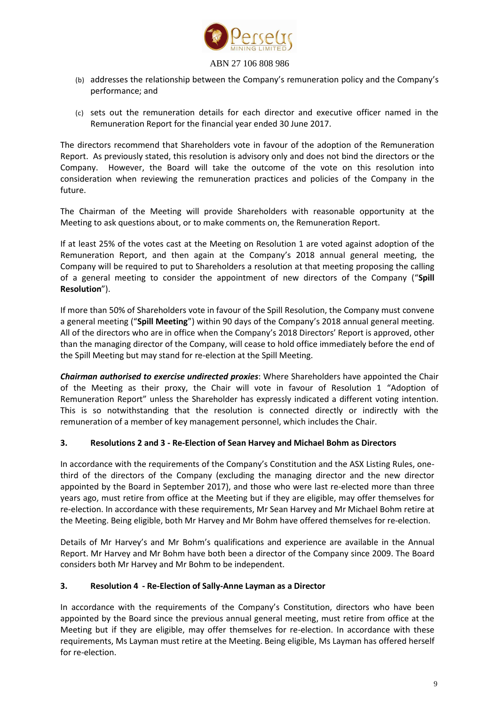

- (b) addresses the relationship between the Company's remuneration policy and the Company's performance; and
- (c) sets out the remuneration details for each director and executive officer named in the Remuneration Report for the financial year ended 30 June 2017.

The directors recommend that Shareholders vote in favour of the adoption of the Remuneration Report. As previously stated, this resolution is advisory only and does not bind the directors or the Company. However, the Board will take the outcome of the vote on this resolution into consideration when reviewing the remuneration practices and policies of the Company in the future.

The Chairman of the Meeting will provide Shareholders with reasonable opportunity at the Meeting to ask questions about, or to make comments on, the Remuneration Report.

If at least 25% of the votes cast at the Meeting on Resolution 1 are voted against adoption of the Remuneration Report, and then again at the Company's 2018 annual general meeting, the Company will be required to put to Shareholders a resolution at that meeting proposing the calling of a general meeting to consider the appointment of new directors of the Company ("**Spill Resolution**").

If more than 50% of Shareholders vote in favour of the Spill Resolution, the Company must convene a general meeting ("**Spill Meeting**") within 90 days of the Company's 2018 annual general meeting. All of the directors who are in office when the Company's 2018 Directors' Report is approved, other than the managing director of the Company, will cease to hold office immediately before the end of the Spill Meeting but may stand for re-election at the Spill Meeting.

*Chairman authorised to exercise undirected proxies*: Where Shareholders have appointed the Chair of the Meeting as their proxy, the Chair will vote in favour of Resolution 1 "Adoption of Remuneration Report" unless the Shareholder has expressly indicated a different voting intention. This is so notwithstanding that the resolution is connected directly or indirectly with the remuneration of a member of key management personnel, which includes the Chair.

#### **3. Resolutions 2 and 3 - Re-Election of Sean Harvey and Michael Bohm as Directors**

In accordance with the requirements of the Company's Constitution and the ASX Listing Rules, onethird of the directors of the Company (excluding the managing director and the new director appointed by the Board in September 2017), and those who were last re-elected more than three years ago, must retire from office at the Meeting but if they are eligible, may offer themselves for re-election. In accordance with these requirements, Mr Sean Harvey and Mr Michael Bohm retire at the Meeting. Being eligible, both Mr Harvey and Mr Bohm have offered themselves for re-election.

Details of Mr Harvey's and Mr Bohm's qualifications and experience are available in the Annual Report. Mr Harvey and Mr Bohm have both been a director of the Company since 2009. The Board considers both Mr Harvey and Mr Bohm to be independent.

#### **3. Resolution 4 - Re-Election of Sally-Anne Layman as a Director**

In accordance with the requirements of the Company's Constitution, directors who have been appointed by the Board since the previous annual general meeting, must retire from office at the Meeting but if they are eligible, may offer themselves for re-election. In accordance with these requirements, Ms Layman must retire at the Meeting. Being eligible, Ms Layman has offered herself for re-election.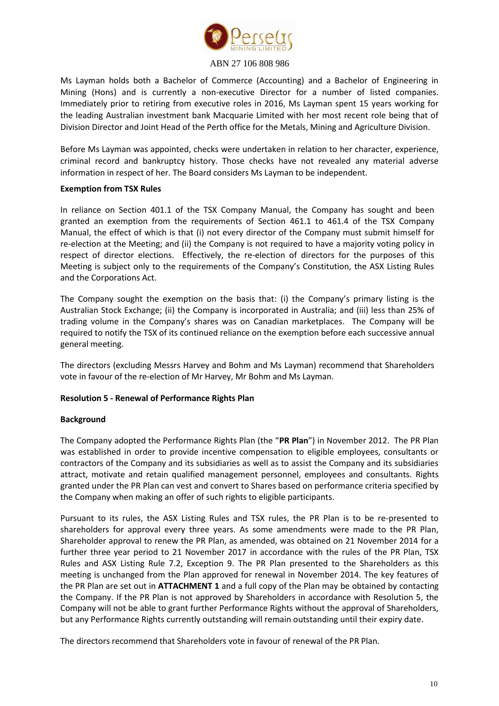

Ms Layman holds both a Bachelor of Commerce (Accounting) and a Bachelor of Engineering in Mining (Hons) and is currently a non-executive Director for a number of listed companies. Immediately prior to retiring from executive roles in 2016, Ms Layman spent 15 years working for the leading Australian investment bank Macquarie Limited with her most recent role being that of Division Director and Joint Head of the Perth office for the Metals, Mining and Agriculture Division.

Before Ms Layman was appointed, checks were undertaken in relation to her character, experience, criminal record and bankruptcy history. Those checks have not revealed any material adverse information in respect of her. The Board considers Ms Layman to be independent.

#### **Exemption from TSX Rules**

In reliance on Section 401.1 of the TSX Company Manual, the Company has sought and been granted an exemption from the requirements of Section 461.1 to 461.4 of the TSX Company Manual, the effect of which is that (i) not every director of the Company must submit himself for re-election at the Meeting; and (ii) the Company is not required to have a majority voting policy in respect of director elections. Effectively, the re-election of directors for the purposes of this Meeting is subject only to the requirements of the Company's Constitution, the ASX Listing Rules and the Corporations Act.

The Company sought the exemption on the basis that: (i) the Company's primary listing is the Australian Stock Exchange; (ii) the Company is incorporated in Australia; and (iii) less than 25% of trading volume in the Company's shares was on Canadian marketplaces. The Company will be required to notify the TSX of its continued reliance on the exemption before each successive annual general meeting.

The directors (excluding Messrs Harvey and Bohm and Ms Layman) recommend that Shareholders vote in favour of the re-election of Mr Harvey, Mr Bohm and Ms Layman.

#### **Resolution 5 - Renewal of Performance Rights Plan**

#### **Background**

The Company adopted the Performance Rights Plan (the "**PR Plan**") in November 2012. The PR Plan was established in order to provide incentive compensation to eligible employees, consultants or contractors of the Company and its subsidiaries as well as to assist the Company and its subsidiaries attract, motivate and retain qualified management personnel, employees and consultants. Rights granted under the PR Plan can vest and convert to Shares based on performance criteria specified by the Company when making an offer of such rights to eligible participants.

Pursuant to its rules, the ASX Listing Rules and TSX rules, the PR Plan is to be re-presented to shareholders for approval every three years. As some amendments were made to the PR Plan, Shareholder approval to renew the PR Plan, as amended, was obtained on 21 November 2014 for a further three year period to 21 November 2017 in accordance with the rules of the PR Plan, TSX Rules and ASX Listing Rule 7.2, Exception 9. The PR Plan presented to the Shareholders as this meeting is unchanged from the Plan approved for renewal in November 2014. The key features of the PR Plan are set out in **ATTACHMENT 1** and a full copy of the Plan may be obtained by contacting the Company. If the PR Plan is not approved by Shareholders in accordance with Resolution 5, the Company will not be able to grant further Performance Rights without the approval of Shareholders, but any Performance Rights currently outstanding will remain outstanding until their expiry date.

The directors recommend that Shareholders vote in favour of renewal of the PR Plan.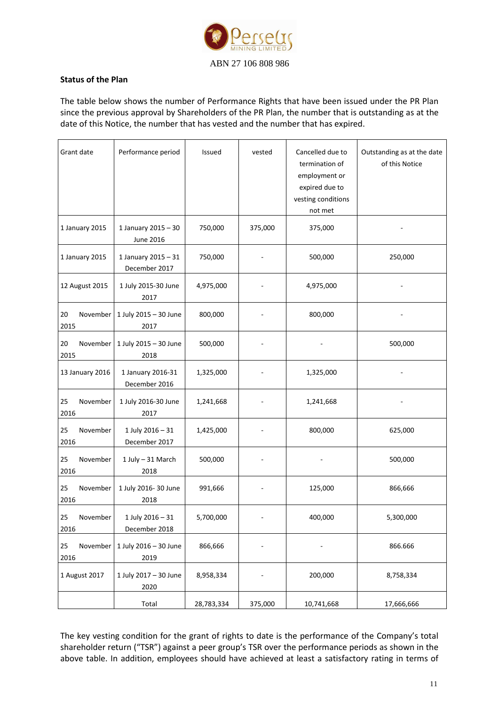

#### **Status of the Plan**

The table below shows the number of Performance Rights that have been issued under the PR Plan since the previous approval by Shareholders of the PR Plan, the number that is outstanding as at the date of this Notice, the number that has vested and the number that has expired.

| Grant date             | Performance period                      | Issued     | vested  | Cancelled due to<br>termination of<br>employment or<br>expired due to<br>vesting conditions<br>not met | Outstanding as at the date<br>of this Notice |
|------------------------|-----------------------------------------|------------|---------|--------------------------------------------------------------------------------------------------------|----------------------------------------------|
| 1 January 2015         | 1 January 2015 - 30<br><b>June 2016</b> | 750,000    | 375,000 | 375,000                                                                                                |                                              |
| 1 January 2015         | 1 January 2015 - 31<br>December 2017    | 750,000    |         | 500,000                                                                                                | 250,000                                      |
| 12 August 2015         | 1 July 2015-30 June<br>2017             | 4,975,000  |         | 4,975,000                                                                                              |                                              |
| 20<br>November<br>2015 | 1 July 2015 - 30 June<br>2017           | 800,000    |         | 800,000                                                                                                |                                              |
| 20<br>November<br>2015 | 1 July 2015 - 30 June<br>2018           | 500,000    |         |                                                                                                        | 500,000                                      |
| 13 January 2016        | 1 January 2016-31<br>December 2016      | 1,325,000  |         | 1,325,000                                                                                              |                                              |
| November<br>25<br>2016 | 1 July 2016-30 June<br>2017             | 1,241,668  |         | 1,241,668                                                                                              |                                              |
| November<br>25<br>2016 | 1 July 2016 - 31<br>December 2017       | 1,425,000  |         | 800,000                                                                                                | 625,000                                      |
| 25<br>November<br>2016 | 1 July - 31 March<br>2018               | 500,000    |         |                                                                                                        | 500,000                                      |
| 25<br>November<br>2016 | 1 July 2016-30 June<br>2018             | 991,666    |         | 125,000                                                                                                | 866,666                                      |
| 25<br>November<br>2016 | 1 July 2016 - 31<br>December 2018       | 5,700,000  |         | 400,000                                                                                                | 5,300,000                                    |
| November<br>25<br>2016 | 1 July 2016 - 30 June<br>2019           | 866,666    |         |                                                                                                        | 866.666                                      |
| 1 August 2017          | 1 July 2017 - 30 June<br>2020           | 8,958,334  |         | 200,000                                                                                                | 8,758,334                                    |
|                        | Total                                   | 28,783,334 | 375,000 | 10,741,668                                                                                             | 17,666,666                                   |

The key vesting condition for the grant of rights to date is the performance of the Company's total shareholder return ("TSR") against a peer group's TSR over the performance periods as shown in the above table. In addition, employees should have achieved at least a satisfactory rating in terms of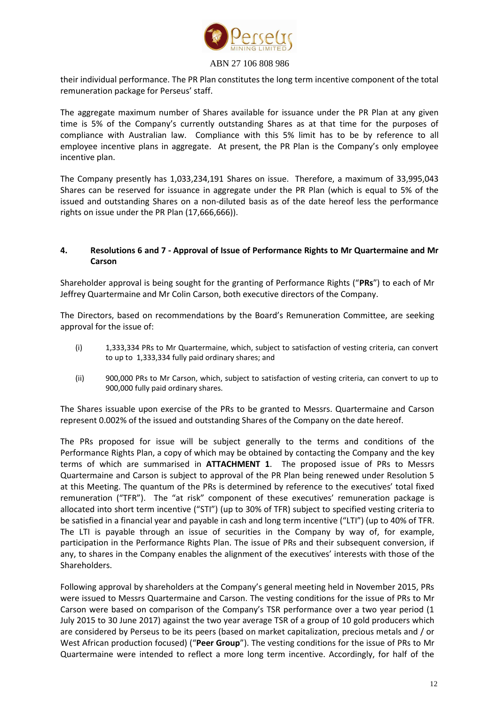

their individual performance. The PR Plan constitutes the long term incentive component of the total remuneration package for Perseus' staff.

The aggregate maximum number of Shares available for issuance under the PR Plan at any given time is 5% of the Company's currently outstanding Shares as at that time for the purposes of compliance with Australian law. Compliance with this 5% limit has to be by reference to all employee incentive plans in aggregate. At present, the PR Plan is the Company's only employee incentive plan.

The Company presently has 1,033,234,191 Shares on issue. Therefore, a maximum of 33,995,043 Shares can be reserved for issuance in aggregate under the PR Plan (which is equal to 5% of the issued and outstanding Shares on a non-diluted basis as of the date hereof less the performance rights on issue under the PR Plan (17,666,666)).

#### **4. Resolutions 6 and 7 - Approval of Issue of Performance Rights to Mr Quartermaine and Mr Carson**

Shareholder approval is being sought for the granting of Performance Rights ("**PRs**") to each of Mr Jeffrey Quartermaine and Mr Colin Carson, both executive directors of the Company.

The Directors, based on recommendations by the Board's Remuneration Committee, are seeking approval for the issue of:

- (i) 1,333,334 PRs to Mr Quartermaine, which, subject to satisfaction of vesting criteria, can convert to up to 1,333,334 fully paid ordinary shares; and
- (ii) 900,000 PRs to Mr Carson, which, subject to satisfaction of vesting criteria, can convert to up to 900,000 fully paid ordinary shares.

The Shares issuable upon exercise of the PRs to be granted to Messrs. Quartermaine and Carson represent 0.002% of the issued and outstanding Shares of the Company on the date hereof.

The PRs proposed for issue will be subject generally to the terms and conditions of the Performance Rights Plan, a copy of which may be obtained by contacting the Company and the key terms of which are summarised in **ATTACHMENT 1**. The proposed issue of PRs to Messrs Quartermaine and Carson is subject to approval of the PR Plan being renewed under Resolution 5 at this Meeting. The quantum of the PRs is determined by reference to the executives' total fixed remuneration ("TFR"). The "at risk" component of these executives' remuneration package is allocated into short term incentive ("STI") (up to 30% of TFR) subject to specified vesting criteria to be satisfied in a financial year and payable in cash and long term incentive ("LTI") (up to 40% of TFR. The LTI is payable through an issue of securities in the Company by way of, for example, participation in the Performance Rights Plan. The issue of PRs and their subsequent conversion, if any, to shares in the Company enables the alignment of the executives' interests with those of the Shareholders.

Following approval by shareholders at the Company's general meeting held in November 2015, PRs were issued to Messrs Quartermaine and Carson. The vesting conditions for the issue of PRs to Mr Carson were based on comparison of the Company's TSR performance over a two year period (1 July 2015 to 30 June 2017) against the two year average TSR of a group of 10 gold producers which are considered by Perseus to be its peers (based on market capitalization, precious metals and / or West African production focused) ("**Peer Group**"). The vesting conditions for the issue of PRs to Mr Quartermaine were intended to reflect a more long term incentive. Accordingly, for half of the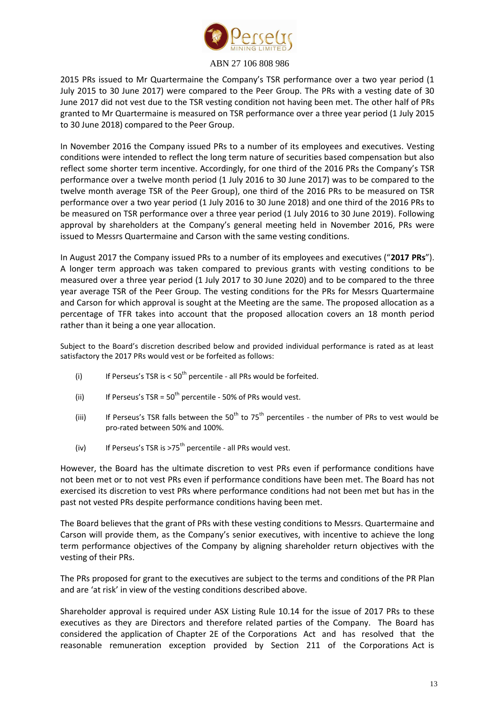

2015 PRs issued to Mr Quartermaine the Company's TSR performance over a two year period (1 July 2015 to 30 June 2017) were compared to the Peer Group. The PRs with a vesting date of 30 June 2017 did not vest due to the TSR vesting condition not having been met. The other half of PRs granted to Mr Quartermaine is measured on TSR performance over a three year period (1 July 2015 to 30 June 2018) compared to the Peer Group.

In November 2016 the Company issued PRs to a number of its employees and executives. Vesting conditions were intended to reflect the long term nature of securities based compensation but also reflect some shorter term incentive. Accordingly, for one third of the 2016 PRs the Company's TSR performance over a twelve month period (1 July 2016 to 30 June 2017) was to be compared to the twelve month average TSR of the Peer Group), one third of the 2016 PRs to be measured on TSR performance over a two year period (1 July 2016 to 30 June 2018) and one third of the 2016 PRs to be measured on TSR performance over a three year period (1 July 2016 to 30 June 2019). Following approval by shareholders at the Company's general meeting held in November 2016, PRs were issued to Messrs Quartermaine and Carson with the same vesting conditions.

In August 2017 the Company issued PRs to a number of its employees and executives ("**2017 PRs**"). A longer term approach was taken compared to previous grants with vesting conditions to be measured over a three year period (1 July 2017 to 30 June 2020) and to be compared to the three year average TSR of the Peer Group. The vesting conditions for the PRs for Messrs Quartermaine and Carson for which approval is sought at the Meeting are the same. The proposed allocation as a percentage of TFR takes into account that the proposed allocation covers an 18 month period rather than it being a one year allocation.

Subject to the Board's discretion described below and provided individual performance is rated as at least satisfactory the 2017 PRs would vest or be forfeited as follows:

- (i) If Perseus's TSR is  $< 50<sup>th</sup>$  percentile all PRs would be forfeited.
- (ii) If Perseus's TSR =  $50<sup>th</sup>$  percentile 50% of PRs would vest.
- (iii) If Perseus's TSR falls between the 50<sup>th</sup> to 75<sup>th</sup> percentiles the number of PRs to vest would be pro-rated between 50% and 100%.
- (iv) If Perseus's TSR is >75<sup>th</sup> percentile all PRs would vest.

However, the Board has the ultimate discretion to vest PRs even if performance conditions have not been met or to not vest PRs even if performance conditions have been met. The Board has not exercised its discretion to vest PRs where performance conditions had not been met but has in the past not vested PRs despite performance conditions having been met.

The Board believes that the grant of PRs with these vesting conditions to Messrs. Quartermaine and Carson will provide them, as the Company's senior executives, with incentive to achieve the long term performance objectives of the Company by aligning shareholder return objectives with the vesting of their PRs.

The PRs proposed for grant to the executives are subject to the terms and conditions of the PR Plan and are 'at risk' in view of the vesting conditions described above.

Shareholder approval is required under ASX Listing Rule 10.14 for the issue of 2017 PRs to these executives as they are Directors and therefore related parties of the Company. The Board has considered the application of Chapter 2E of the Corporations Act and has resolved that the reasonable remuneration exception provided by Section 211 of the Corporations Act is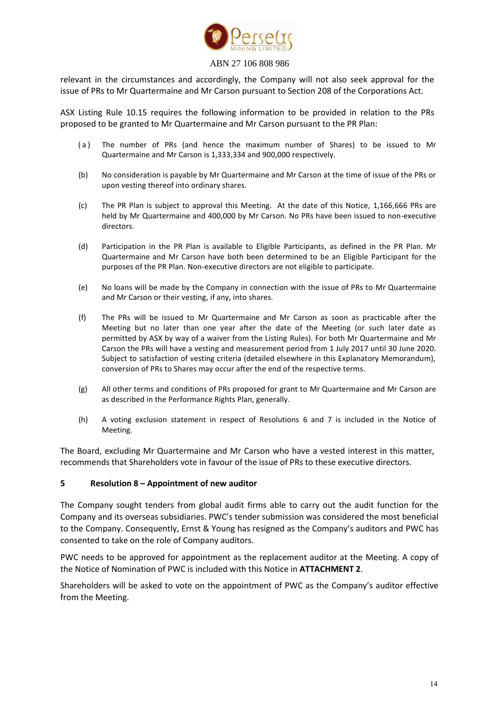

relevant in the circumstances and accordingly, the Company will not also seek approval for the issue of PRs to Mr Quartermaine and Mr Carson pursuant to Section 208 of the Corporations Act.

ASX Listing Rule 10.15 requires the following information to be provided in relation to the PRs proposed to be granted to Mr Quartermaine and Mr Carson pursuant to the PR Plan:

- (a) The number of PRs (and hence the maximum number of Shares) to be issued to Mr Quartermaine and Mr Carson is 1,333,334 and 900,000 respectively.
- (b) No consideration is payable by Mr Quartermaine and Mr Carson at the time of issue of the PRs or upon vesting thereof into ordinary shares.
- (c) The PR Plan is subject to approval this Meeting. At the date of this Notice, 1,166,666 PRs are held by Mr Quartermaine and 400,000 by Mr Carson. No PRs have been issued to non-executive directors.
- (d) Participation in the PR Plan is available to Eligible Participants, as defined in the PR Plan. Mr Quartermaine and Mr Carson have both been determined to be an Eligible Participant for the purposes of the PR Plan. Non-executive directors are not eligible to participate.
- (e) No loans will be made by the Company in connection with the issue of PRs to Mr Quartermaine and Mr Carson or their vesting, if any, into shares.
- (f) The PRs will be issued to Mr Quartermaine and Mr Carson as soon as practicable after the Meeting but no later than one year after the date of the Meeting (or such later date as permitted by ASX by way of a waiver from the Listing Rules). For both Mr Quartermaine and Mr Carson the PRs will have a vesting and measurement period from 1 July 2017 until 30 June 2020. Subject to satisfaction of vesting criteria (detailed elsewhere in this Explanatory Memorandum), conversion of PRs to Shares may occur after the end of the respective terms.
- (g) All other terms and conditions of PRs proposed for grant to Mr Quartermaine and Mr Carson are as described in the Performance Rights Plan, generally.
- (h) A voting exclusion statement in respect of Resolutions 6 and 7 is included in the Notice of Meeting.

The Board, excluding Mr Quartermaine and Mr Carson who have a vested interest in this matter, recommends that Shareholders vote in favour of the issue of PRs to these executive directors.

#### **5 Resolution 8 – Appointment of new auditor**

The Company sought tenders from global audit firms able to carry out the audit function for the Company and its overseas subsidiaries. PWC's tender submission was considered the most beneficial to the Company. Consequently, Ernst & Young has resigned as the Company's auditors and PWC has consented to take on the role of Company auditors.

PWC needs to be approved for appointment as the replacement auditor at the Meeting. A copy of the Notice of Nomination of PWC is included with this Notice in **ATTACHMENT 2**.

Shareholders will be asked to vote on the appointment of PWC as the Company's auditor effective from the Meeting.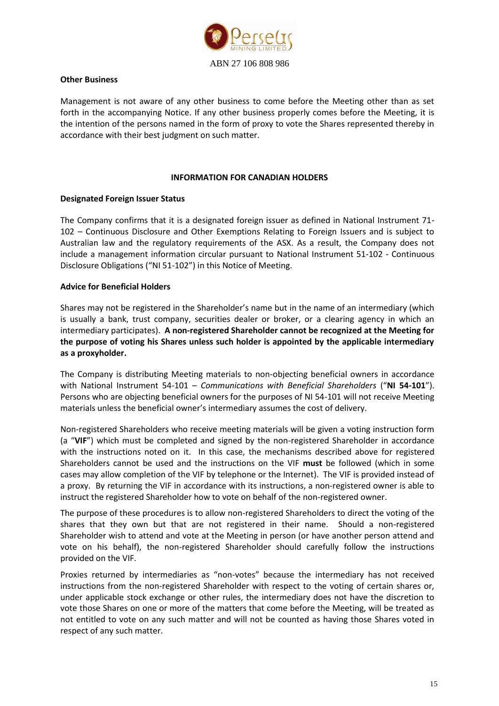

#### **Other Business**

Management is not aware of any other business to come before the Meeting other than as set forth in the accompanying Notice. If any other business properly comes before the Meeting, it is the intention of the persons named in the form of proxy to vote the Shares represented thereby in accordance with their best judgment on such matter.

#### **INFORMATION FOR CANADIAN HOLDERS**

#### **Designated Foreign Issuer Status**

The Company confirms that it is a designated foreign issuer as defined in National Instrument 71- 102 – Continuous Disclosure and Other Exemptions Relating to Foreign Issuers and is subject to Australian law and the regulatory requirements of the ASX. As a result, the Company does not include a management information circular pursuant to National Instrument 51-102 - Continuous Disclosure Obligations ("NI 51-102") in this Notice of Meeting.

#### **Advice for Beneficial Holders**

Shares may not be registered in the Shareholder's name but in the name of an intermediary (which is usually a bank, trust company, securities dealer or broker, or a clearing agency in which an intermediary participates). **A non-registered Shareholder cannot be recognized at the Meeting for the purpose of voting his Shares unless such holder is appointed by the applicable intermediary as a proxyholder.**

The Company is distributing Meeting materials to non-objecting beneficial owners in accordance with National Instrument 54-101 – *Communications with Beneficial Shareholders* ("**NI 54-101**"). Persons who are objecting beneficial owners for the purposes of NI 54-101 will not receive Meeting materials unless the beneficial owner's intermediary assumes the cost of delivery.

Non-registered Shareholders who receive meeting materials will be given a voting instruction form (a "**VIF**") which must be completed and signed by the non-registered Shareholder in accordance with the instructions noted on it. In this case, the mechanisms described above for registered Shareholders cannot be used and the instructions on the VIF **must** be followed (which in some cases may allow completion of the VIF by telephone or the Internet). The VIF is provided instead of a proxy. By returning the VIF in accordance with its instructions, a non-registered owner is able to instruct the registered Shareholder how to vote on behalf of the non-registered owner.

The purpose of these procedures is to allow non-registered Shareholders to direct the voting of the shares that they own but that are not registered in their name. Should a non-registered Shareholder wish to attend and vote at the Meeting in person (or have another person attend and vote on his behalf), the non-registered Shareholder should carefully follow the instructions provided on the VIF.

Proxies returned by intermediaries as "non-votes" because the intermediary has not received instructions from the non-registered Shareholder with respect to the voting of certain shares or, under applicable stock exchange or other rules, the intermediary does not have the discretion to vote those Shares on one or more of the matters that come before the Meeting, will be treated as not entitled to vote on any such matter and will not be counted as having those Shares voted in respect of any such matter.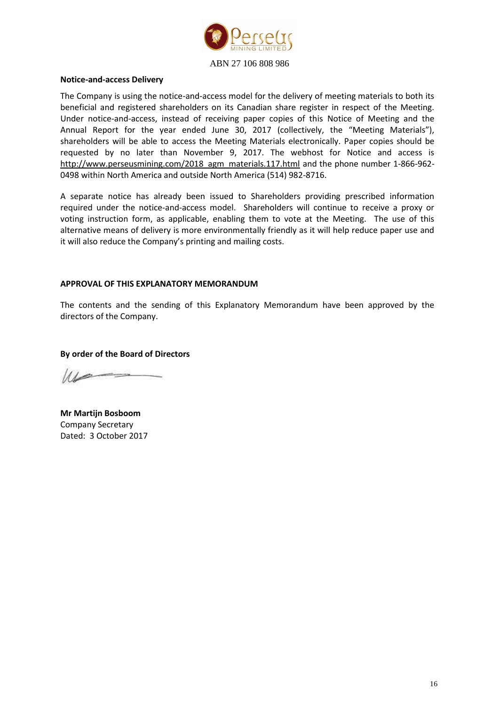

## **Notice-and-access Delivery**

The Company is using the notice-and-access model for the delivery of meeting materials to both its beneficial and registered shareholders on its Canadian share register in respect of the Meeting. Under notice-and-access, instead of receiving paper copies of this Notice of Meeting and the Annual Report for the year ended June 30, 2017 (collectively, the "Meeting Materials"), shareholders will be able to access the Meeting Materials electronically. Paper copies should be requested by no later than November 9, 2017. The webhost for Notice and access is [http://www.perseusmining.com/2018\\_agm\\_materials.117.html](http://www.perseusmining.com/2018_agm_materials.117.html) and the phone number 1-866-962-0498 within North America and outside North America (514) 982-8716.

A separate notice has already been issued to Shareholders providing prescribed information required under the notice-and-access model. Shareholders will continue to receive a proxy or voting instruction form, as applicable, enabling them to vote at the Meeting. The use of this alternative means of delivery is more environmentally friendly as it will help reduce paper use and it will also reduce the Company's printing and mailing costs.

#### **APPROVAL OF THIS EXPLANATORY MEMORANDUM**

The contents and the sending of this Explanatory Memorandum have been approved by the directors of the Company.

**By order of the Board of Directors**

**Mr Martijn Bosboom** Company Secretary Dated: 3 October 2017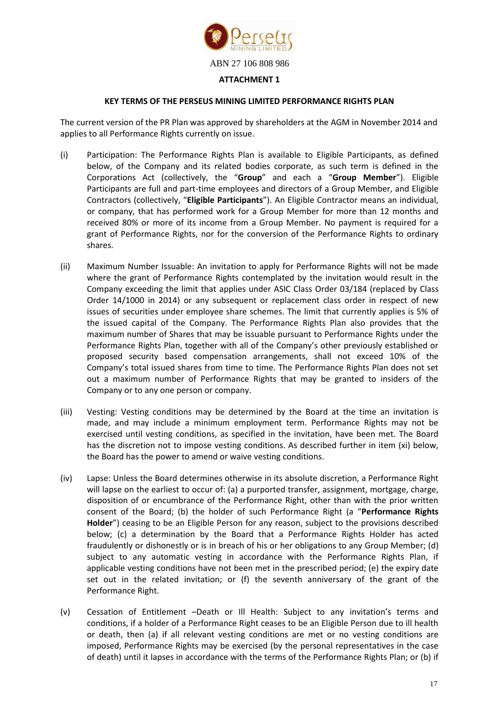

#### **KEY TERMS OF THE PERSEUS MINING LIMITED PERFORMANCE RIGHTS PLAN**

The current version of the PR Plan was approved by shareholders at the AGM in November 2014 and applies to all Performance Rights currently on issue.

- (i) Participation: The Performance Rights Plan is available to Eligible Participants, as defined below, of the Company and its related bodies corporate, as such term is defined in the Corporations Act (collectively, the "**Group**" and each a "**Group Member**"). Eligible Participants are full and part-time employees and directors of a Group Member, and Eligible Contractors (collectively, "**Eligible Participants**"). An Eligible Contractor means an individual, or company, that has performed work for a Group Member for more than 12 months and received 80% or more of its income from a Group Member. No payment is required for a grant of Performance Rights, nor for the conversion of the Performance Rights to ordinary shares.
- (ii) Maximum Number Issuable: An invitation to apply for Performance Rights will not be made where the grant of Performance Rights contemplated by the invitation would result in the Company exceeding the limit that applies under ASIC Class Order 03/184 (replaced by Class Order 14/1000 in 2014) or any subsequent or replacement class order in respect of new issues of securities under employee share schemes. The limit that currently applies is 5% of the issued capital of the Company. The Performance Rights Plan also provides that the maximum number of Shares that may be issuable pursuant to Performance Rights under the Performance Rights Plan, together with all of the Company's other previously established or proposed security based compensation arrangements, shall not exceed 10% of the Company's total issued shares from time to time. The Performance Rights Plan does not set out a maximum number of Performance Rights that may be granted to insiders of the Company or to any one person or company.
- (iii) Vesting: Vesting conditions may be determined by the Board at the time an invitation is made, and may include a minimum employment term. Performance Rights may not be exercised until vesting conditions, as specified in the invitation, have been met. The Board has the discretion not to impose vesting conditions. As described further in item (xi) below, the Board has the power to amend or waive vesting conditions.
- (iv) Lapse: Unless the Board determines otherwise in its absolute discretion, a Performance Right will lapse on the earliest to occur of: (a) a purported transfer, assignment, mortgage, charge, disposition of or encumbrance of the Performance Right, other than with the prior written consent of the Board; (b) the holder of such Performance Right (a "**Performance Rights Holder**") ceasing to be an Eligible Person for any reason, subject to the provisions described below; (c) a determination by the Board that a Performance Rights Holder has acted fraudulently or dishonestly or is in breach of his or her obligations to any Group Member; (d) subject to any automatic vesting in accordance with the Performance Rights Plan, if applicable vesting conditions have not been met in the prescribed period; (e) the expiry date set out in the related invitation; or (f) the seventh anniversary of the grant of the Performance Right.
- (v) Cessation of Entitlement –Death or Ill Health: Subject to any invitation's terms and conditions, if a holder of a Performance Right ceases to be an Eligible Person due to ill health or death, then (a) if all relevant vesting conditions are met or no vesting conditions are imposed, Performance Rights may be exercised (by the personal representatives in the case of death) until it lapses in accordance with the terms of the Performance Rights Plan; or (b) if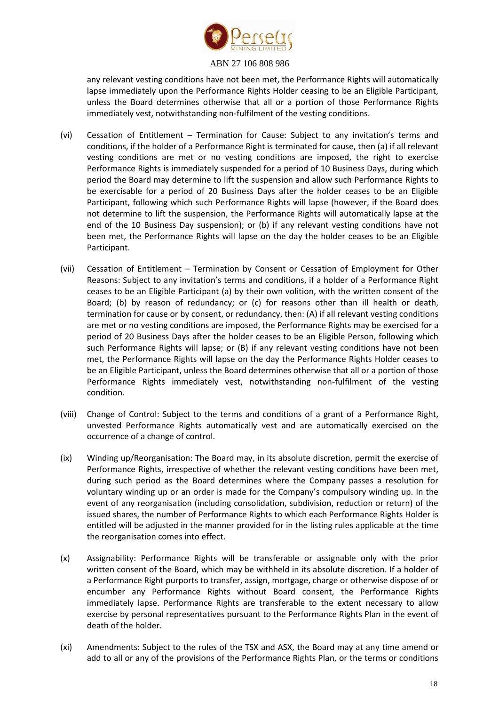

any relevant vesting conditions have not been met, the Performance Rights will automatically lapse immediately upon the Performance Rights Holder ceasing to be an Eligible Participant, unless the Board determines otherwise that all or a portion of those Performance Rights immediately vest, notwithstanding non-fulfilment of the vesting conditions.

- (vi) Cessation of Entitlement Termination for Cause: Subject to any invitation's terms and conditions, if the holder of a Performance Right is terminated for cause, then (a) if all relevant vesting conditions are met or no vesting conditions are imposed, the right to exercise Performance Rights is immediately suspended for a period of 10 Business Days, during which period the Board may determine to lift the suspension and allow such Performance Rights to be exercisable for a period of 20 Business Days after the holder ceases to be an Eligible Participant, following which such Performance Rights will lapse (however, if the Board does not determine to lift the suspension, the Performance Rights will automatically lapse at the end of the 10 Business Day suspension); or (b) if any relevant vesting conditions have not been met, the Performance Rights will lapse on the day the holder ceases to be an Eligible Participant.
- (vii) Cessation of Entitlement Termination by Consent or Cessation of Employment for Other Reasons: Subject to any invitation's terms and conditions, if a holder of a Performance Right ceases to be an Eligible Participant (a) by their own volition, with the written consent of the Board; (b) by reason of redundancy; or (c) for reasons other than ill health or death, termination for cause or by consent, or redundancy, then: (A) if all relevant vesting conditions are met or no vesting conditions are imposed, the Performance Rights may be exercised for a period of 20 Business Days after the holder ceases to be an Eligible Person, following which such Performance Rights will lapse; or (B) if any relevant vesting conditions have not been met, the Performance Rights will lapse on the day the Performance Rights Holder ceases to be an Eligible Participant, unless the Board determines otherwise that all or a portion of those Performance Rights immediately vest, notwithstanding non-fulfilment of the vesting condition.
- (viii) Change of Control: Subject to the terms and conditions of a grant of a Performance Right, unvested Performance Rights automatically vest and are automatically exercised on the occurrence of a change of control.
- (ix) Winding up/Reorganisation: The Board may, in its absolute discretion, permit the exercise of Performance Rights, irrespective of whether the relevant vesting conditions have been met, during such period as the Board determines where the Company passes a resolution for voluntary winding up or an order is made for the Company's compulsory winding up. In the event of any reorganisation (including consolidation, subdivision, reduction or return) of the issued shares, the number of Performance Rights to which each Performance Rights Holder is entitled will be adjusted in the manner provided for in the listing rules applicable at the time the reorganisation comes into effect.
- (x) Assignability: Performance Rights will be transferable or assignable only with the prior written consent of the Board, which may be withheld in its absolute discretion. If a holder of a Performance Right purports to transfer, assign, mortgage, charge or otherwise dispose of or encumber any Performance Rights without Board consent, the Performance Rights immediately lapse. Performance Rights are transferable to the extent necessary to allow exercise by personal representatives pursuant to the Performance Rights Plan in the event of death of the holder.
- (xi) Amendments: Subject to the rules of the TSX and ASX, the Board may at any time amend or add to all or any of the provisions of the Performance Rights Plan, or the terms or conditions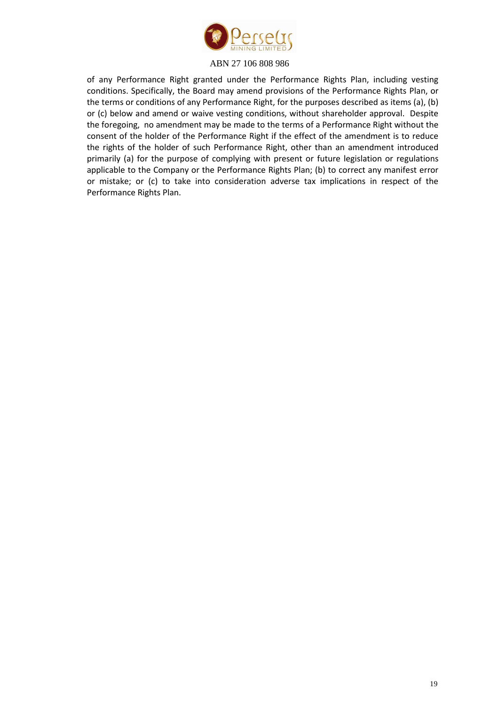

of any Performance Right granted under the Performance Rights Plan, including vesting conditions. Specifically, the Board may amend provisions of the Performance Rights Plan, or the terms or conditions of any Performance Right, for the purposes described as items (a), (b) or (c) below and amend or waive vesting conditions, without shareholder approval. Despite the foregoing, no amendment may be made to the terms of a Performance Right without the consent of the holder of the Performance Right if the effect of the amendment is to reduce the rights of the holder of such Performance Right, other than an amendment introduced primarily (a) for the purpose of complying with present or future legislation or regulations applicable to the Company or the Performance Rights Plan; (b) to correct any manifest error or mistake; or (c) to take into consideration adverse tax implications in respect of the Performance Rights Plan.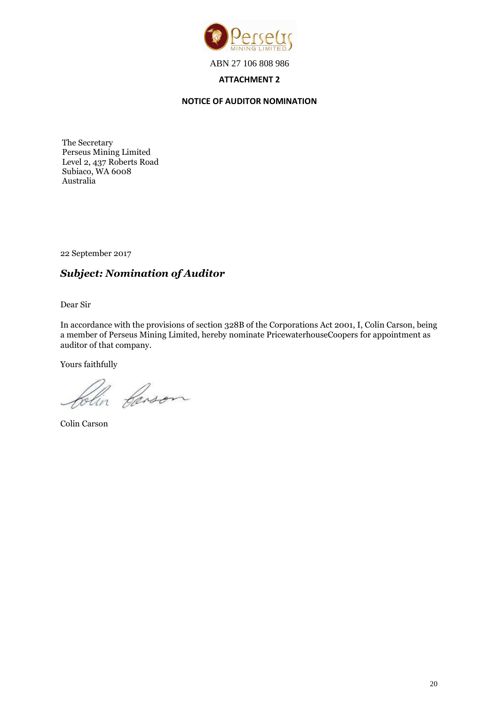

### **ATTACHMENT 2**

#### **NOTICE OF AUDITOR NOMINATION**

The Secretary Perseus Mining Limited Level 2, 437 Roberts Road Subiaco, WA 6008 Australia

22 September 2017

## *Subject: Nomination of Auditor*

Dear Sir

In accordance with the provisions of section 328B of the Corporations Act 2001, I, Colin Carson, being a member of Perseus Mining Limited, hereby nominate PricewaterhouseCoopers for appointment as auditor of that company.

Yours faithfully

lin Carson

Colin Carson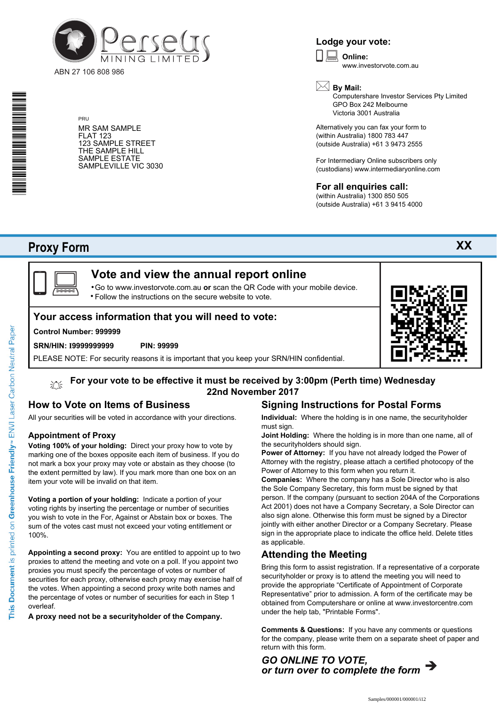

PRU

MR SAM SAMPLE FLAT 123 123 SAMPLE STREET THE SAMPLE HILL SAMPLE ESTATE SAMPLEVILLE VIC 3030

### **Lodge your vote:**

**Online:** www.investorvote.com.au  $\boxed{\Box}$ 



Computershare Investor Services Pty Limited GPO Box 242 Melbourne Victoria 3001 Australia

Alternatively you can fax your form to (within Australia) 1800 783 447 (outside Australia) +61 3 9473 2555

For Intermediary Online subscribers only (custodians) www.intermediaryonline.com

#### **For all enquiries call:**

(within Australia) 1300 850 505 (outside Australia) +61 3 9415 4000

## **Proxy Form**

\* S0000112<br>S0000112<br>S0000112



沁

# **Vote and view the annual report online**

Go to www.investorvote.com.au **or** scan the QR Code with your mobile device. Follow the instructions on the secure website to vote. •

#### **Your access information that you will need to vote:**

#### **Control Number: 999999**

#### **SRN/HIN: I9999999999 PIN: 99999**

PLEASE NOTE: For security reasons it is important that you keep your SRN/HIN confidential.

# **For your vote to be effective it must be received by 3:00pm (Perth time) Wednesday 22nd November 2017**

#### **How to Vote on Items of Business**

All your securities will be voted in accordance with your directions.

#### **Appointment of Proxy**

**Voting 100% of your holding:** Direct your proxy how to vote by marking one of the boxes opposite each item of business. If you do not mark a box your proxy may vote or abstain as they choose (to the extent permitted by law). If you mark more than one box on an item your vote will be invalid on that item.

**Voting a portion of your holding:** Indicate a portion of your voting rights by inserting the percentage or number of securities you wish to vote in the For, Against or Abstain box or boxes. The sum of the votes cast must not exceed your voting entitlement or 100%.

**Appointing a second proxy:** You are entitled to appoint up to two proxies to attend the meeting and vote on a poll. If you appoint two proxies you must specify the percentage of votes or number of securities for each proxy, otherwise each proxy may exercise half of the votes. When appointing a second proxy write both names and the percentage of votes or number of securities for each in Step 1 overleaf.

**A proxy need not be a securityholder of the Company.**

## **Signing Instructions for Postal Forms**

**Individual:** Where the holding is in one name, the securityholder must sign.

**Joint Holding:** Where the holding is in more than one name, all of the securityholders should sign.

**Power of Attorney:** If you have not already lodged the Power of Attorney with the registry, please attach a certified photocopy of the Power of Attorney to this form when you return it.

**Companies:** Where the company has a Sole Director who is also the Sole Company Secretary, this form must be signed by that person. If the company (pursuant to section 204A of the Corporations Act 2001) does not have a Company Secretary, a Sole Director can also sign alone. Otherwise this form must be signed by a Director jointly with either another Director or a Company Secretary. Please sign in the appropriate place to indicate the office held. Delete titles as applicable.

#### **Attending the Meeting**

Bring this form to assist registration. If a representative of a corporate securityholder or proxy is to attend the meeting you will need to provide the appropriate "Certificate of Appointment of Corporate Representative" prior to admission. A form of the certificate may be obtained from Computershare or online at www.investorcentre.com under the help tab, "Printable Forms".

**Comments & Questions:** If you have any comments or questions for the company, please write them on a separate sheet of paper and return with this form.



**XX**